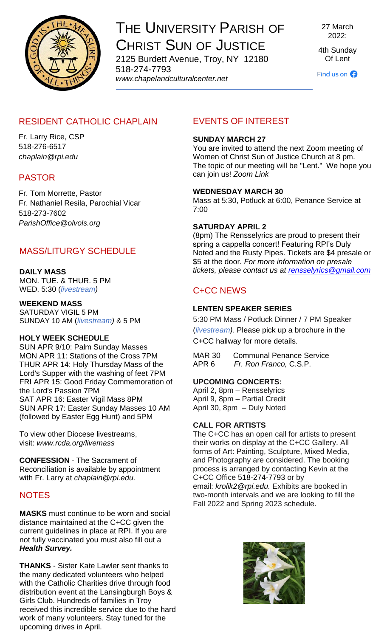

## THE UNIVERSITY PARISH OF CHRIST SUN OF JUSTICE

2125 Burdett Avenue, Troy, NY 12180 518-274-7793 *www[.chapelandculturalcenter.net](https://chapelandculturalcenter.net/)*

27 March 2022:

4th Sunday Of Lent

Find us on  $\bigodot$ 

## RESIDENT CATHOLIC CHAPLAIN

Fr. Larry Rice, CSP 518-276-6517 *[chaplain@rpi.edu](mailto:chaplain@rpi.edu)*

## PASTOR

Fr. Tom Morrette, Pastor Fr. Nathaniel Resila, Parochial Vicar 518-273-7602 *[ParishOffice@olvols.org](mailto:ParishOffice@olvols.org)*

## MASS/LITURGY SCHEDULE

#### **DAILY MASS**

MON. TUE. & THUR. 5 PM WED. 5:30 (*[livestream\)](https://www.facebook.com/ChristSunofJustice/live/)*

#### **WEEKEND MASS**

SATURDAY VIGIL 5 PM SUNDAY 10 AM (*[livestream\)](https://www.facebook.com/ChristSunofJustice/live/)* & 5 PM

#### **HOLY WEEK SCHEDULE**

SUN APR 9/10: Palm Sunday Masses MON APR 11: Stations of the Cross 7PM THUR APR 14: Holy Thursday Mass of the Lord's Supper with the washing of feet 7PM FRI APR 15: Good Friday Commemoration of the Lord's Passion 7PM SAT APR 16: Easter Vigil Mass 8PM SUN APR 17: Easter Sunday Masses 10 AM (followed by Easter Egg Hunt) and 5PM

To view other Diocese livestreams, visit: *[www.rcda.org/livemass](http://www.rcda.org/livemass)*

**CONFESSION** - The Sacrament of Reconciliation is available by appointment with Fr. Larry at *[chaplain@rpi.edu.](mailto:chaplain@rpi.edu)*

## **NOTES**

**MASKS** must continue to be worn and social distance maintained at the C+CC given the current guidelines in place at RPI. If you are not fully vaccinated you must also fill out a *[Health Survey.](https://www.chapelandculturalcenter.net/health-survey/)*

**THANKS** - Sister Kate Lawler sent thanks to the many dedicated volunteers who helped with the Catholic Charities drive through food distribution event at the Lansingburgh Boys & Girls Club. Hundreds of families in Troy received this incredible service due to the hard work of many volunteers. Stay tuned for the upcoming drives in April.

## EVENTS OF INTEREST

#### **SUNDAY MARCH 27**

You are invited to attend the next Zoom meeting of Women of Christ Sun of Justice Church at 8 pm. The topic of our meeting will be "Lent." We hope you can join us! *[Zoom Link](https://us06web.zoom.us/j/89585565220?pwd=TkhodXVXSUtVNTJuMmJLeUgwaVVCQT09)*

#### **WEDNESDAY MARCH 30**

Mass at 5:30, Potluck at 6:00, Penance Service at 7:00

#### **SATURDAY APRIL 2**

(8pm) The Rensselyrics are proud to present their spring a cappella concert! Featuring RPI's Duly Noted and the Rusty Pipes. Tickets are \$4 presale or \$5 at the door. *For more information on presale tickets, please contact us at [rensselyrics@gmail.com](mailto:rensselyrics@gmail.com)*

## C+CC NEWS

#### **LENTEN SPEAKER SERIES**

5:30 PM Mass / Potluck Dinner / 7 PM Speaker (*[livestream\)](https://www.facebook.com/ChristSunofJustice/live/).* Please pick up a brochure in the C+CC hallway for more details.

MAR 30 Communal Penance Service APR 6 *[Fr. Ron Franco,](https://paulist.org/who-we-are/bio/fr-ronald-franco/)* C.S.P.

#### **UPCOMING CONCERTS:**

April 2, 8pm – Rensselyrics April 9, 8pm – Partial Credit April 30, 8pm – Duly Noted

#### **CALL FOR ARTISTS**

The C+CC has an open call for artists to present their works on display at the C+CC Gallery. All forms of Art: Painting, Sculpture, Mixed Media, and Photography are considered. The booking process is arranged by contacting Kevin at the C+CC Office [518-274-7793](tel:5182747793) or by email: *[krolik2@rpi.edu.](mailto:krolik2@rpi.edu)* Exhibits are booked in two-month intervals and we are looking to fill the Fall 2022 and Spring 2023 schedule.

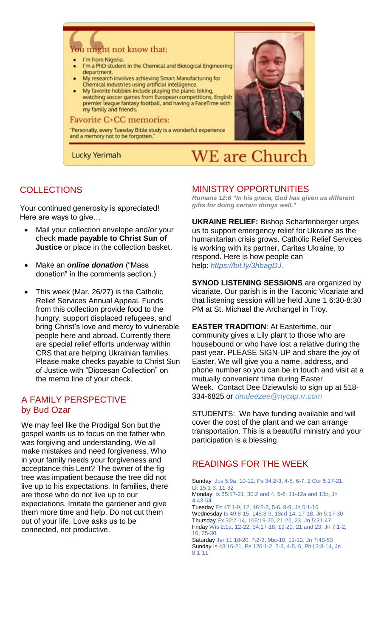# a might not know that:

- I'm from Nigeria.
- I'm a PhD student in the Chemical and Biological Engineering department.
- My research involves achieving Smart Manufacturing for Chemical Industries using artificial intelligence.
- My favorite hobbies include playing the piano, biking,
- watching soccer games from European competitions, English premier league fantasy football, and having a FaceTime with my family and friends.

#### **Favorite C+CC memories:**

"Personally, every Tuesday Bible study is a wonderful experience and a memory not to be forgotten.

Lucky Yerimah



#### MINISTRY OPPORTUNITIES

**WE** are Church

*Romans 12:6 "In his grace, God has given us different gifts for doing certain things well."*

**UKRAINE RELIEF:** Bishop Scharfenberger urges us to support emergency relief for Ukraine as the humanitarian crisis grows. Catholic Relief Services is working with its partner, Caritas Ukraine, to respond. Here is how people can help: *[https://bit.ly/3hbagDJ.](https://bit.ly/3hbagDJ?fbclid=IwAR2WH4XjxT8SMX13STGtLq5eJCWROSPwFKRGmLtdKxIzpgOxJV0PzNPxfpk)*

**SYNOD LISTENING SESSIONS** are organized by vicariate. Our parish is in the Taconic Vicariate and that listening session will be held June 1 6:30-8:30 PM at St. Michael the Archangel in Troy.

**EASTER TRADITION**: At Eastertime, our community gives a Lily plant to those who are housebound or who have lost a relative during the past year. PLEASE SIGN-UP and share the joy of Easter. We will give you a name, address, and phone number so you can be in touch and visit at a mutually convenient time during Easter Week. Contact Dee Dziewulski to sign up at 518- 334-6825 or *[dmdeezee@nycap.rr.com](mailto:dmdeezee@nycap.rr.com)*

STUDENTS: We have funding available and will cover the cost of the plant and we can arrange transportation. This is a beautiful ministry and your participation is a blessing.

## READINGS FOR THE WEEK

Sunday Jos 5:9a, 10-12, Ps 34:2-3, 4-5, 6-7, 2 Cor 5:17-21, Lk 15:1-3, 11-32

Monday Is 65:17-21, 30:2 and 4, 5-6, 11-12a and 13b, Jn 4:43-54

Tuesday Ez 47:1-9, 12, 46:2-3, 5-6, 8-9, Jn 5:1-16 Wednesday Is 49:8-15, 145:8-9, 13cd-14, 17-18, Jn 5:17-30 Thursday Ex 32:7-14, 106:19-20, 21-22, 23, Jn 5:31-47 Friday Wis 2:1a, 12-22, 34:17-18, 19-20, 21 and 23, Jn 7:1-2, 10, 25-30

Saturday Jer 11:18-20, 7:2-3, 9bc-10, 11-12, Jn 7:40-53 Sunday Is 43:16-21, Ps 126:1-2, 2-3, 4-5, 6, Phil 3:8-14, Jn 8:1-11

## **COLLECTIONS**

Your continued generosity is appreciated! Here are ways to give…

- Mail your collection envelope and/or your check **made payable to Christ Sun of Justice** or place in the collection basket.
- Make an *[online donation](http://chapelandculturalcenter.net/give-back/)* ("Mass donation" in the comments section.)
- This week (Mar. 26/27) is the Catholic Relief Services Annual Appeal. Funds from this collection provide food to the hungry, support displaced refugees, and bring Christ's love and mercy to vulnerable people here and abroad. Currently there are special relief efforts underway within CRS that are helping Ukrainian families. Please make checks payable to Christ Sun of Justice with "Diocesan Collection" on the memo line of your check.

## A FAMILY PERSPECTIVE by Bud Ozar

We may feel like the Prodigal Son but the gospel wants us to focus on the father who was forgiving and understanding. We all make mistakes and need forgiveness. Who in your family needs your forgiveness and acceptance this Lent? The owner of the fig tree was impatient because the tree did not live up to his expectations. In families, there are those who do not live up to our expectations. Imitate the gardener and give them more time and help. Do not cut them out of your life. Love asks us to be connected, not productive.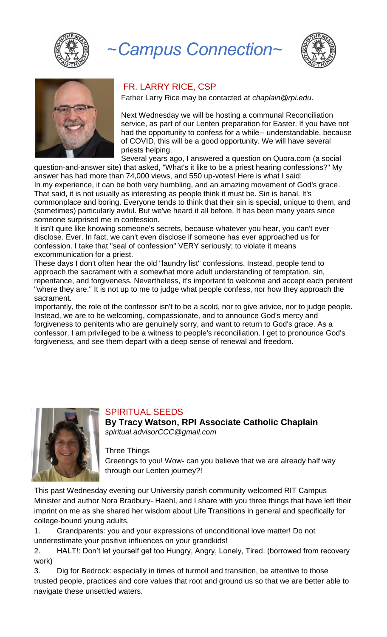

# *~Campus Connection~*





#### FR. LARRY RICE, CSP

Father Larry Rice may be contacted at *[chaplain@rpi.edu.](mailto:chaplain@rpi.edu)* 

Next Wednesday we will be hosting a communal Reconciliation service, as part of our Lenten preparation for Easter. If you have not had the opportunity to confess for a while-- understandable, because of COVID, this will be a good opportunity. We will have several priests helping.

Several years ago, I answered a question on Quora.com (a social question-and-answer site) that asked, "What's it like to be a priest hearing confessions?" My

answer has had more than 74,000 views, and 550 up-votes! Here is what I said: In my experience, it can be both very humbling, and an amazing movement of God's grace. That said, it is not usually as interesting as people think it must be. Sin is banal. It's commonplace and boring. Everyone tends to think that their sin is special, unique to them, and (sometimes) particularly awful. But we've heard it all before. It has been many years since someone surprised me in confession.

It isn't quite like knowing someone's secrets, because whatever you hear, you can't ever disclose. Ever. In fact, we can't even disclose if someone has ever approached us for confession. I take that "seal of confession" VERY seriously; to violate it means excommunication for a priest.

These days I don't often hear the old "laundry list" confessions. Instead, people tend to approach the sacrament with a somewhat more adult understanding of temptation, sin, repentance, and forgiveness. Nevertheless, it's important to welcome and accept each penitent "where they are." It is not up to me to judge what people confess, nor how they approach the sacrament.

Importantly, the role of the confessor isn't to be a scold, nor to give advice, nor to judge people. Instead, we are to be welcoming, compassionate, and to announce God's mercy and forgiveness to penitents who are genuinely sorry, and want to return to God's grace. As a confessor, I am privileged to be a witness to people's reconciliation. I get to pronounce God's forgiveness, and see them depart with a deep sense of renewal and freedom.



## SPIRITUAL SEEDS

**By Tracy Watson, RPI Associate Catholic Chaplain** *[spiritual.advisorCCC@gmail.com](mailto:spiritual.advisorCCC@gmail.com)*

Three Things

Greetings to you! Wow- can you believe that we are already half way through our Lenten journey?!

This past Wednesday evening our University parish community welcomed RIT Campus Minister and author Nora Bradbury- Haehl, and I share with you three things that have left their imprint on me as she shared her wisdom about Life Transitions in general and specifically for college-bound young adults.

1. Grandparents: you and your expressions of unconditional love matter! Do not underestimate your positive influences on your grandkids!

2. HALT!: Don't let yourself get too Hungry, Angry, Lonely, Tired. (borrowed from recovery work)

3. Dig for Bedrock: especially in times of turmoil and transition, be attentive to those trusted people, practices and core values that root and ground us so that we are better able to navigate these unsettled waters.